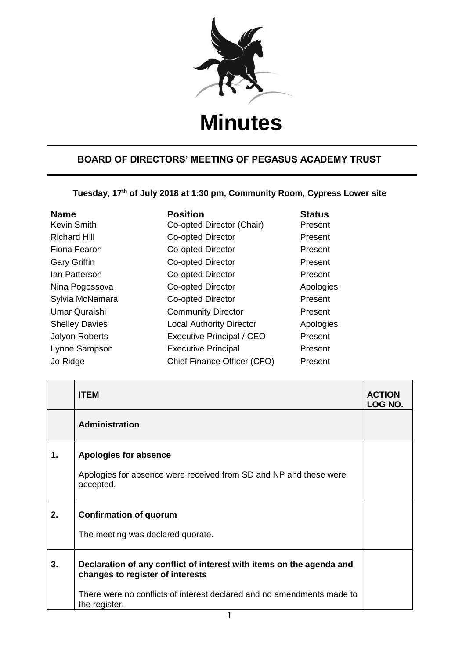

## **Minutes**

## **BOARD OF DIRECTORS' MEETING OF PEGASUS ACADEMY TRUST**

**Tuesday, 17th of July 2018 at 1:30 pm, Community Room, Cypress Lower site**

| <b>Name</b><br>Kevin Smith | <b>Position</b><br>Co-opted Director (Chair) | <b>Status</b><br>Present |
|----------------------------|----------------------------------------------|--------------------------|
| <b>Richard Hill</b>        | <b>Co-opted Director</b>                     | Present                  |
| Fiona Fearon               | <b>Co-opted Director</b>                     | Present                  |
| <b>Gary Griffin</b>        | Co-opted Director                            | Present                  |
| lan Patterson              | Co-opted Director                            | Present                  |
| Nina Pogossova             | Co-opted Director                            | Apologies                |
| Sylvia McNamara            | Co-opted Director                            | Present                  |
| Umar Quraishi              | <b>Community Director</b>                    | Present                  |
| <b>Shelley Davies</b>      | <b>Local Authority Director</b>              | Apologies                |
| <b>Jolyon Roberts</b>      | <b>Executive Principal / CEO</b>             | Present                  |
| Lynne Sampson              | <b>Executive Principal</b>                   | Present                  |
| Jo Ridge                   | Chief Finance Officer (CFO)                  | Present                  |

|    | <b>ITEM</b>                                                                                                                                                                                         | <b>ACTION</b><br>LOG NO. |
|----|-----------------------------------------------------------------------------------------------------------------------------------------------------------------------------------------------------|--------------------------|
|    | Administration                                                                                                                                                                                      |                          |
| 1. | Apologies for absence<br>Apologies for absence were received from SD and NP and these were<br>accepted.                                                                                             |                          |
| 2. | <b>Confirmation of quorum</b><br>The meeting was declared quorate.                                                                                                                                  |                          |
| 3. | Declaration of any conflict of interest with items on the agenda and<br>changes to register of interests<br>There were no conflicts of interest declared and no amendments made to<br>the register. |                          |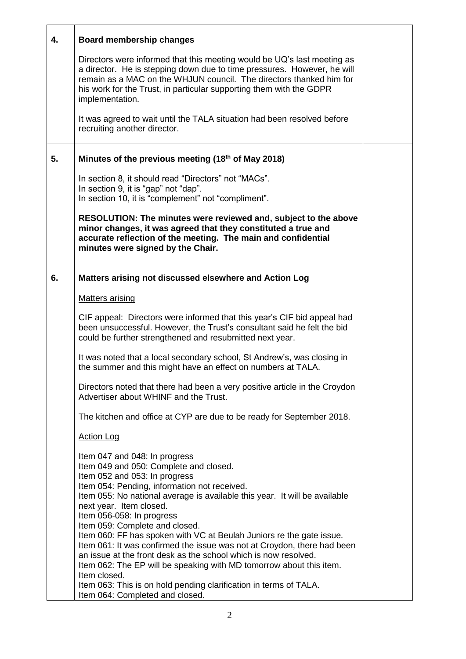| 4. | Board membership changes                                                                                                                                                                                                                                                                                                                                                                                                                                                                                                                                                                                                      |  |
|----|-------------------------------------------------------------------------------------------------------------------------------------------------------------------------------------------------------------------------------------------------------------------------------------------------------------------------------------------------------------------------------------------------------------------------------------------------------------------------------------------------------------------------------------------------------------------------------------------------------------------------------|--|
|    | Directors were informed that this meeting would be UQ's last meeting as<br>a director. He is stepping down due to time pressures. However, he will<br>remain as a MAC on the WHJUN council. The directors thanked him for<br>his work for the Trust, in particular supporting them with the GDPR<br>implementation.                                                                                                                                                                                                                                                                                                           |  |
|    | It was agreed to wait until the TALA situation had been resolved before<br>recruiting another director.                                                                                                                                                                                                                                                                                                                                                                                                                                                                                                                       |  |
| 5. | Minutes of the previous meeting (18th of May 2018)                                                                                                                                                                                                                                                                                                                                                                                                                                                                                                                                                                            |  |
|    | In section 8, it should read "Directors" not "MACs".<br>In section 9, it is "gap" not "dap".<br>In section 10, it is "complement" not "compliment".                                                                                                                                                                                                                                                                                                                                                                                                                                                                           |  |
|    | RESOLUTION: The minutes were reviewed and, subject to the above<br>minor changes, it was agreed that they constituted a true and<br>accurate reflection of the meeting. The main and confidential<br>minutes were signed by the Chair.                                                                                                                                                                                                                                                                                                                                                                                        |  |
| 6. | Matters arising not discussed elsewhere and Action Log                                                                                                                                                                                                                                                                                                                                                                                                                                                                                                                                                                        |  |
|    | <b>Matters arising</b>                                                                                                                                                                                                                                                                                                                                                                                                                                                                                                                                                                                                        |  |
|    | CIF appeal: Directors were informed that this year's CIF bid appeal had<br>been unsuccessful. However, the Trust's consultant said he felt the bid<br>could be further strengthened and resubmitted next year.                                                                                                                                                                                                                                                                                                                                                                                                                |  |
|    | It was noted that a local secondary school, St Andrew's, was closing in<br>the summer and this might have an effect on numbers at TALA.                                                                                                                                                                                                                                                                                                                                                                                                                                                                                       |  |
|    | Directors noted that there had been a very positive article in the Croydon<br>Advertiser about WHINF and the Trust.                                                                                                                                                                                                                                                                                                                                                                                                                                                                                                           |  |
|    | The kitchen and office at CYP are due to be ready for September 2018.                                                                                                                                                                                                                                                                                                                                                                                                                                                                                                                                                         |  |
|    | <b>Action Log</b>                                                                                                                                                                                                                                                                                                                                                                                                                                                                                                                                                                                                             |  |
|    | Item 047 and 048: In progress<br>Item 049 and 050: Complete and closed.<br>Item 052 and 053: In progress<br>Item 054: Pending, information not received.<br>Item 055: No national average is available this year. It will be available<br>next year. Item closed.<br>Item 056-058: In progress<br>Item 059: Complete and closed.<br>Item 060: FF has spoken with VC at Beulah Juniors re the gate issue.<br>Item 061: It was confirmed the issue was not at Croydon, there had been<br>an issue at the front desk as the school which is now resolved.<br>Item 062: The EP will be speaking with MD tomorrow about this item. |  |
|    | Item closed.<br>Item 063: This is on hold pending clarification in terms of TALA.<br>Item 064: Completed and closed.                                                                                                                                                                                                                                                                                                                                                                                                                                                                                                          |  |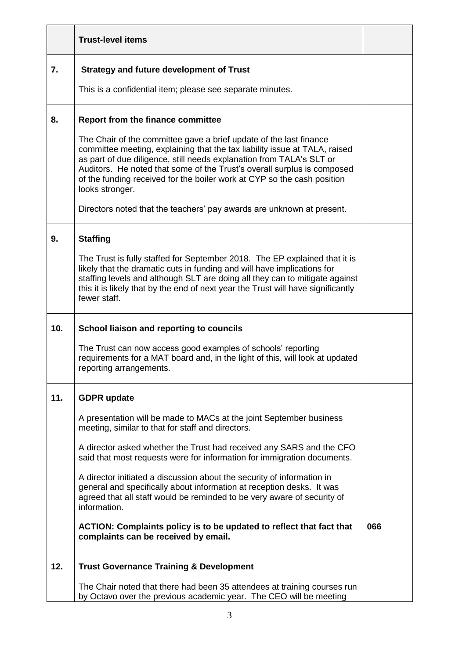|     | <b>Trust-level items</b>                                                                                                                                                                                                                                                                                                                                                                          |     |
|-----|---------------------------------------------------------------------------------------------------------------------------------------------------------------------------------------------------------------------------------------------------------------------------------------------------------------------------------------------------------------------------------------------------|-----|
| 7.  | <b>Strategy and future development of Trust</b>                                                                                                                                                                                                                                                                                                                                                   |     |
|     | This is a confidential item; please see separate minutes.                                                                                                                                                                                                                                                                                                                                         |     |
| 8.  | <b>Report from the finance committee</b>                                                                                                                                                                                                                                                                                                                                                          |     |
|     | The Chair of the committee gave a brief update of the last finance<br>committee meeting, explaining that the tax liability issue at TALA, raised<br>as part of due diligence, still needs explanation from TALA's SLT or<br>Auditors. He noted that some of the Trust's overall surplus is composed<br>of the funding received for the boiler work at CYP so the cash position<br>looks stronger. |     |
|     | Directors noted that the teachers' pay awards are unknown at present.                                                                                                                                                                                                                                                                                                                             |     |
| 9.  | <b>Staffing</b>                                                                                                                                                                                                                                                                                                                                                                                   |     |
|     | The Trust is fully staffed for September 2018. The EP explained that it is<br>likely that the dramatic cuts in funding and will have implications for<br>staffing levels and although SLT are doing all they can to mitigate against<br>this it is likely that by the end of next year the Trust will have significantly<br>fewer staff.                                                          |     |
| 10. | School liaison and reporting to councils                                                                                                                                                                                                                                                                                                                                                          |     |
|     | The Trust can now access good examples of schools' reporting<br>requirements for a MAT board and, in the light of this, will look at updated<br>reporting arrangements.                                                                                                                                                                                                                           |     |
| 11. | <b>GDPR</b> update                                                                                                                                                                                                                                                                                                                                                                                |     |
|     | A presentation will be made to MACs at the joint September business<br>meeting, similar to that for staff and directors.                                                                                                                                                                                                                                                                          |     |
|     | A director asked whether the Trust had received any SARS and the CFO<br>said that most requests were for information for immigration documents.                                                                                                                                                                                                                                                   |     |
|     | A director initiated a discussion about the security of information in<br>general and specifically about information at reception desks. It was<br>agreed that all staff would be reminded to be very aware of security of<br>information.                                                                                                                                                        |     |
|     | ACTION: Complaints policy is to be updated to reflect that fact that<br>complaints can be received by email.                                                                                                                                                                                                                                                                                      | 066 |
| 12. | <b>Trust Governance Training &amp; Development</b>                                                                                                                                                                                                                                                                                                                                                |     |
|     | The Chair noted that there had been 35 attendees at training courses run<br>by Octavo over the previous academic year. The CEO will be meeting                                                                                                                                                                                                                                                    |     |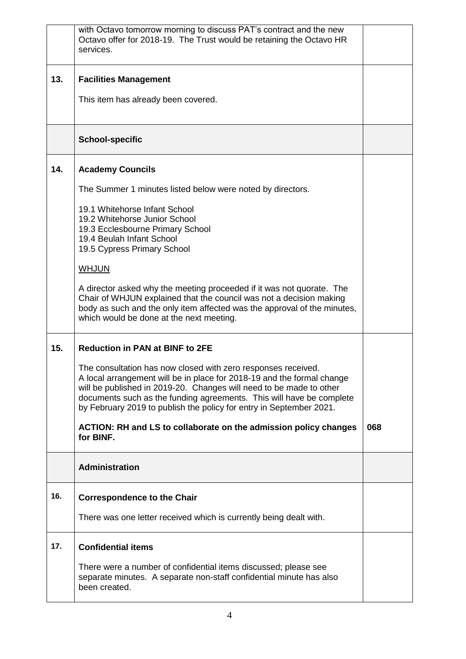|     | with Octavo tomorrow morning to discuss PAT's contract and the new<br>Octavo offer for 2018-19. The Trust would be retaining the Octavo HR<br>services.                                                                                                                                                                                                       |     |
|-----|---------------------------------------------------------------------------------------------------------------------------------------------------------------------------------------------------------------------------------------------------------------------------------------------------------------------------------------------------------------|-----|
| 13. | <b>Facilities Management</b>                                                                                                                                                                                                                                                                                                                                  |     |
|     | This item has already been covered.                                                                                                                                                                                                                                                                                                                           |     |
|     | <b>School-specific</b>                                                                                                                                                                                                                                                                                                                                        |     |
| 14. | <b>Academy Councils</b>                                                                                                                                                                                                                                                                                                                                       |     |
|     | The Summer 1 minutes listed below were noted by directors.                                                                                                                                                                                                                                                                                                    |     |
|     | 19.1 Whitehorse Infant School<br>19.2 Whitehorse Junior School                                                                                                                                                                                                                                                                                                |     |
|     | 19.3 Ecclesbourne Primary School<br>19.4 Beulah Infant School                                                                                                                                                                                                                                                                                                 |     |
|     | 19.5 Cypress Primary School                                                                                                                                                                                                                                                                                                                                   |     |
|     | <b>WHJUN</b>                                                                                                                                                                                                                                                                                                                                                  |     |
|     | A director asked why the meeting proceeded if it was not quorate. The<br>Chair of WHJUN explained that the council was not a decision making<br>body as such and the only item affected was the approval of the minutes,<br>which would be done at the next meeting.                                                                                          |     |
| 15. | <b>Reduction in PAN at BINF to 2FE</b>                                                                                                                                                                                                                                                                                                                        |     |
|     | The consultation has now closed with zero responses received.<br>A local arrangement will be in place for 2018-19 and the formal change<br>will be published in 2019-20. Changes will need to be made to other<br>documents such as the funding agreements. This will have be complete<br>by February 2019 to publish the policy for entry in September 2021. |     |
|     | ACTION: RH and LS to collaborate on the admission policy changes<br>for BINF.                                                                                                                                                                                                                                                                                 | 068 |
|     | Administration                                                                                                                                                                                                                                                                                                                                                |     |
| 16. | <b>Correspondence to the Chair</b>                                                                                                                                                                                                                                                                                                                            |     |
|     | There was one letter received which is currently being dealt with.                                                                                                                                                                                                                                                                                            |     |
| 17. | <b>Confidential items</b>                                                                                                                                                                                                                                                                                                                                     |     |
|     | There were a number of confidential items discussed; please see<br>separate minutes. A separate non-staff confidential minute has also<br>been created.                                                                                                                                                                                                       |     |